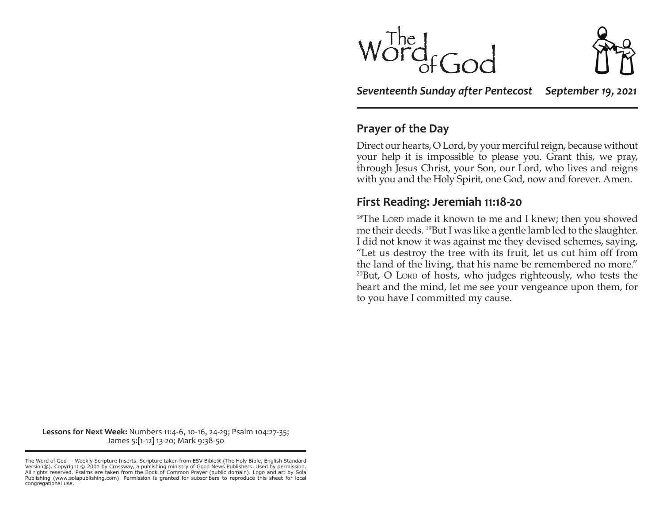$\operatorname{Ind}_{fGor}$ 

*Seventeenth Sunday after Pentecost September 19, 2021*

### **Prayer of the Day**

Direct our hearts, O Lord, by your merciful reign, because without your help it is impossible to please you. Grant this, we pray, through Jesus Christ, your Son, our Lord, who lives and reigns with you and the Holy Spirit, one God, now and forever. Amen.

### **First Reading: Jeremiah 11:18-20**

<sup>18</sup>The Lorp made it known to me and I knew; then you showed me their deeds. 19But I was like a gentle lamb led to the slaughter. I did not know it was against me they devised schemes, saying, "Let us destroy the tree with its fruit, let us cut him off from the land of the living, that his name be remembered no more."  $20$ But, O LORD of hosts, who judges righteously, who tests the heart and the mind, let me see your vengeance upon them, for to you have I committed my cause.

**Lessons for Next Week:** Numbers 11:4-6, 10-16, 24-29; Psalm 104:27-35; James 5:[1-12] 13-20; Mark 9:38-50

The Word of God — Weekly Scripture Inserts. Scripture taken from ESV Bible® (The Holy Bible, English Standard Version®). Copyright © 2001 by Crossway, a publishing ministry of Good News Publishers. Used by permission. All rights reserved. Psalms are taken from the Book of Common Prayer (public domain). Logo and art by Sola Publishing (www.solapublishing.com). Permission is granted for subscribers to reproduce this sheet for local congregational use.